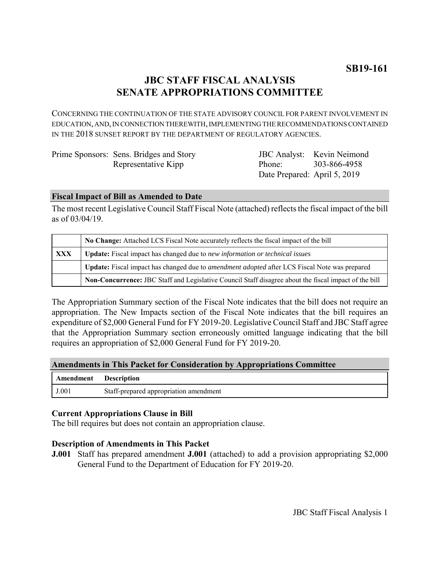# **JBC STAFF FISCAL ANALYSIS SENATE APPROPRIATIONS COMMITTEE**

CONCERNING THE CONTINUATION OF THE STATE ADVISORY COUNCIL FOR PARENT INVOLVEMENT IN EDUCATION, AND, IN CONNECTION THEREWITH, IMPLEMENTING THE RECOMMENDATIONS CONTAINED IN THE 2018 SUNSET REPORT BY THE DEPARTMENT OF REGULATORY AGENCIES.

| Prime Sponsors: Sens. Bridges and Story |
|-----------------------------------------|
| Representative Kipp                     |

JBC Analyst: Kevin Neimond Phone: Date Prepared: April 5, 2019 303-866-4958

### **Fiscal Impact of Bill as Amended to Date**

The most recent Legislative Council Staff Fiscal Note (attached) reflects the fiscal impact of the bill as of 03/04/19.

|            | No Change: Attached LCS Fiscal Note accurately reflects the fiscal impact of the bill                       |  |
|------------|-------------------------------------------------------------------------------------------------------------|--|
| <b>XXX</b> | <b>Update:</b> Fiscal impact has changed due to new information or technical issues                         |  |
|            | <b>Update:</b> Fiscal impact has changed due to <i>amendment adopted</i> after LCS Fiscal Note was prepared |  |
|            | Non-Concurrence: JBC Staff and Legislative Council Staff disagree about the fiscal impact of the bill       |  |

The Appropriation Summary section of the Fiscal Note indicates that the bill does not require an appropriation. The New Impacts section of the Fiscal Note indicates that the bill requires an expenditure of \$2,000 General Fund for FY 2019-20. Legislative Council Staff and JBC Staff agree that the Appropriation Summary section erroneously omitted language indicating that the bill requires an appropriation of \$2,000 General Fund for FY 2019-20.

### **Amendments in This Packet for Consideration by Appropriations Committee**

| Amendment | <b>Description</b>                     |
|-----------|----------------------------------------|
| J.001     | Staff-prepared appropriation amendment |

## **Current Appropriations Clause in Bill**

The bill requires but does not contain an appropriation clause.

### **Description of Amendments in This Packet**

**J.001** Staff has prepared amendment **J.001** (attached) to add a provision appropriating \$2,000 General Fund to the Department of Education for FY 2019-20.